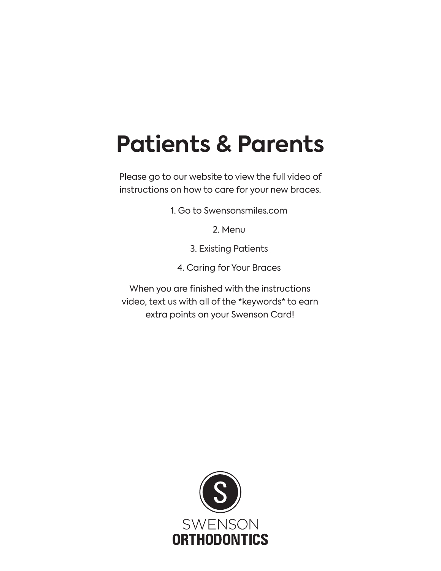# **Patients & Parents**

Please go to our website to view the full video of instructions on how to care for your new braces.

1. Go to Swensonsmiles.com

2. Menu

3. Existing Patients

4. Caring for Your Braces

When you are finished with the instructions video, text us with all of the \*keywords\* to earn extra points on your Swenson Card!

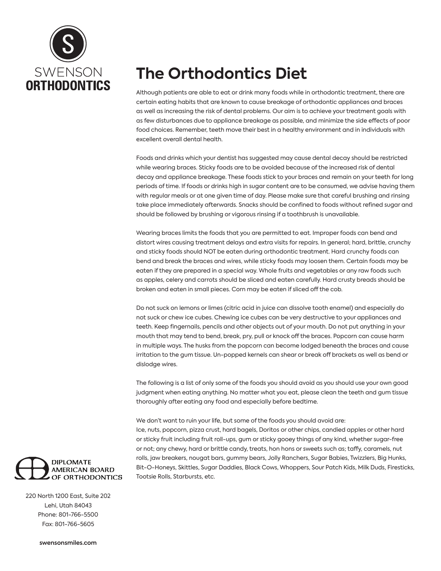

# **The Orthodontics Diet**

Although patients are able to eat or drink many foods while in orthodontic treatment, there are certain eating habits that are known to cause breakage of orthodontic appliances and braces as well as increasing the risk of dental problems. Our aim is to achieve your treatment goals with as few disturbances due to appliance breakage as possible, and minimize the side effects of poor food choices. Remember, teeth move their best in a healthy environment and in individuals with excellent overall dental health.

Foods and drinks which your dentist has suggested may cause dental decay should be restricted while wearing braces. Sticky foods are to be avoided because of the increased risk of dental decay and appliance breakage. These foods stick to your braces and remain on your teeth for long periods of time. If foods or drinks high in sugar content are to be consumed, we advise having them with regular meals or at one given time of day. Please make sure that careful brushing and rinsing take place immediately afterwards. Snacks should be confined to foods without refined sugar and should be followed by brushing or vigorous rinsing if a toothbrush is unavailable.

Wearing braces limits the foods that you are permitted to eat. Improper foods can bend and distort wires causing treatment delays and extra visits for repairs. In general; hard, brittle, crunchy and sticky foods should NOT be eaten during orthodontic treatment. Hard crunchy foods can bend and break the braces and wires, while sticky foods may loosen them. Certain foods may be eaten if they are prepared in a special way. Whole fruits and vegetables or any raw foods such as apples, celery and carrots should be sliced and eaten carefully. Hard crusty breads should be broken and eaten in small pieces. Corn may be eaten if sliced off the cob.

Do not suck on lemons or limes (citric acid in juice can dissolve tooth enamel) and especially do not suck or chew ice cubes. Chewing ice cubes can be very destructive to your appliances and teeth. Keep fingernails, pencils and other objects out of your mouth. Do not put anything in your mouth that may tend to bend, break, pry, pull or knock off the braces. Popcorn can cause harm in multiple ways. The husks from the popcorn can become lodged beneath the braces and cause irritation to the gum tissue. Un-popped kernels can shear or break off brackets as well as bend or dislodge wires.

The following is a list of only some of the foods you should avoid as you should use your own good judgment when eating anything. No matter what you eat, please clean the teeth and gum tissue thoroughly after eating any food and especially before bedtime.

We don't want to ruin your life, but some of the foods you should avoid are: Ice, nuts, popcorn, pizza crust, hard bagels, Doritos or other chips, candied apples or other hard or sticky fruit including fruit roll-ups, gum or sticky gooey things of any kind, whether sugar-free or not; any chewy, hard or brittle candy, treats, hon hons or sweets such as; taffy, caramels, nut rolls, jaw breakers, nougat bars, gummy bears, Jolly Ranchers, Sugar Babies, Twizzlers, Big Hunks, Bit-O-Honeys, Skittles, Sugar Daddies, Black Cows, Whoppers, Sour Patch Kids, Milk Duds, Firesticks, Tootsie Rolls, Starbursts, etc.



220 North 1200 East, Suite 202 Lehi, Utah 84043 Phone: 801-766-5500 Fax: 801-766-5605

**swensonsmiles.com**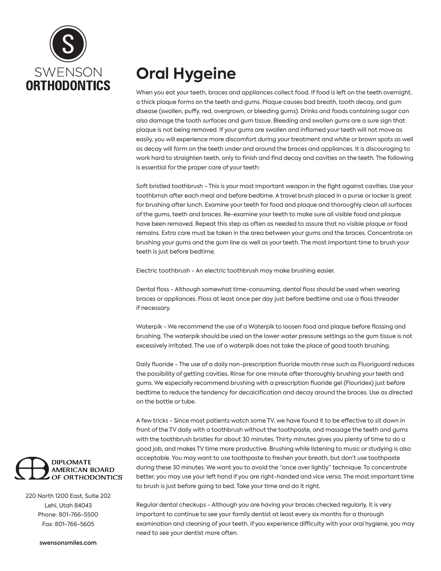

#### **Oral Hygeine**

When you eat your teeth, braces and appliances collect food. If food is left on the teeth overnight, a thick plaque forms on the teeth and gums. Plaque causes bad breath, tooth decay, and gum disease (swollen, puffy, red, overgrown, or bleeding gums). Drinks and foods containing sugar can also damage the tooth surfaces and gum tissue. Bleeding and swollen gums are a sure sign that plaque is not being removed. If your gums are swollen and inflamed your teeth will not move as easily, you will experience more discomfort during your treatment and white or brown spots as well as decay will form on the teeth under and around the braces and appliances. It is discouraging to work hard to straighten teeth, only to finish and find decay and cavities on the teeth. The following is essential for the proper care of your teeth:

Soft bristled toothbrush - This is your most important weapon in the fight against cavities. Use your toothbrnsh after each meal and before bedtime. A travel brush placed in a purse or locker is great for brushing after lunch. Examine your teeth for food and plaque and thoroughly clean all surfaces of the gums, teeth and braces. Re-examine your teeth to make sure all visible food and plaque have been removed. Repeat this step as often as needed to assure that no visible plaque or food remains. Extra care must be taken in the area between your gums and the braces. Concentrate on brushing your gums and the gum line as well as your teeth. The most important time to brush your teeth is just before bedtime.

Electric toothbrush - An electric toothbrush may make brushing easier.

Dental floss - Although somewhat time-consuming, dental floss should be used when wearing braces or appliances. Floss at least once per day just before bedtime and use a floss threader if necessary.

Waterpik - We recommend the use of a Waterpik to loosen food and plaque before flossing and brushing. The waterpik should be used on the lower water pressure settings so the gum tissue is not excessively irritated. The use of a waterpik does not take the place of good tooth brushing.

Daily fluoride - The use of a daily non-prescription fluoride mouth rinse such as Fluoriguard reduces the possibility of getting cavities. Rinse for one minute after thoroughly brushing your teeth and gums. We especially recommend brushing with a prescription fluoride gel (Flouridex) just before bedtime to reduce the tendency for decalcification and decay around the braces. Use as directed on the bottle or tube.

A few tricks - Since most patients watch some TV, we have found it to be effective to sit down in front of the TV daily with a toothbrush without the toothpaste, and massage the teeth and gums with the toothbrush bristles for about 30 minutes. Thirty minutes gives you plenty of time to do a good job, and makes TV time more productive. Brushing while listening to music or studying is also acceptable. You may want to use toothpaste to freshen your breath, but don't use toothpaste during these 30 minutes. We want you to avoid the "once over lightly" technique. To concentrate better, you may use your left hand if you are right-handed and vice versa. The most important time to brush is just before going to bed. Take your time and do it right.

Regular dental checkups - Although you are having your braces checked regularly, it is very important to continue to see your family dentist at least every six months for a thorough examination and cleaning of your teeth. If you experience difficulty with your oral hygiene, you may need to see your dentist more often.



220 North 1200 East, Suite 202 Lehi, Utah 84043 Phone: 801-766-5500 Fax: 801-766-5605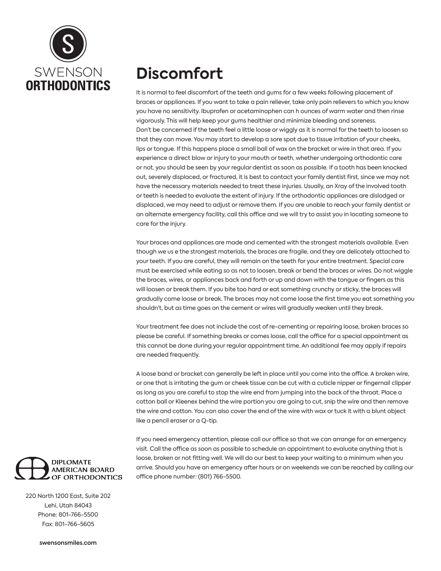

#### **Discomfort**

It is normal to feel discomfort of the teeth and gums for a few weeks following placement of braces or appliances. If you want to take a pain reliever, take only pain relievers to which you know you have no sensitivity. Ibuprofen or acetaminophen can h ounces of warm water and then rinse vigorously. This will help keep your gums healthier and minimize bleeding and soreness. Don't be concerned if the teeth feel a little loose or wiggly as it is normal for the teeth to loosen so that they can move. You may start to develop a sore spot due to tissue irritation of your cheeks, lips or tongue. If this happens place a small ball of wax on the bracket or wire in that area. If you experience a direct blow or injury to your mouth or teeth, whether undergoing orthodontic care or not, you should be seen by your regular dentist as soon as possible. If a tooth has been knocked out, severely displaced, or fractured, it is best to contact your family dentist first, since we may not have the necessary materials needed to treat these injuries. Usually, an Xray of the involved tooth or teeth is needed to evaluate the extent of injury. If the orthodontic appliances are dislodged or displaced, we may need to adjust or remove them. If you are unable to reach your family dentist or an alternate emergency facility, call this office and we will try to assist you in locating someone to care for the injury.

Your braces and appliances are made and cemented with the strongest materials available. Even though we us e the strongest materials, the braces are fragile, and they are delicately attached to your teeth. If you are careful, they will remain on the teeth for your entire treatment. Special care must be exercised while eating so as not to loosen, break or bend the braces or wires. Do not wiggle the braces, wires, or appliances back and forth or up and down with the tongue or fingers as this will loosen or break them. If you bite too hard or eat something crunchy or sticky, the braces will gradually come loose or break. The braces may not come loose the first time you eat something you shouldn't, but as time goes on the cement or wires will gradually weaken until they break.

Your treatment fee does not include the cost of re-cementing or repairing loose, broken braces so please be careful. If something breaks or comes loose, call the office for a special appointment as this cannot be done during your regular appointment time. An additional fee may apply if repairs are needed frequently.

A loose band or bracket can generally be left in place until you come into the office. A broken wire, or one that is irritating the gum or cheek tissue can be cut with a cuticle nipper or fingernail clipper as long as you are careful to stop the wire end from jumping into the back of the throat. Place a cotton ball or Kleenex behind the wire portion you are going to cut, snip the wire and then remove the wire and cotton. You can also cover the end of the wire with wax or tuck it with a blunt object like a pencil eraser or a Q-tip.

If you need emergency attention, please call our office so that we can arrange for an emergency visit. Call the office as soon as possible to schedule an appointment to evaluate anything that is loose, broken or not fitting well. We will do our best to keep your waiting to a minimum when you arrive. Should you have an emergency after hours or on weekends we can be reached by calling our office phone number: (801) 766-5500.



220 North 1200 East, Suite 202 Lehi, Utah 84043 Phone: 801-766-5500 Fax: 801-766-5605

**swensonsmiles.com**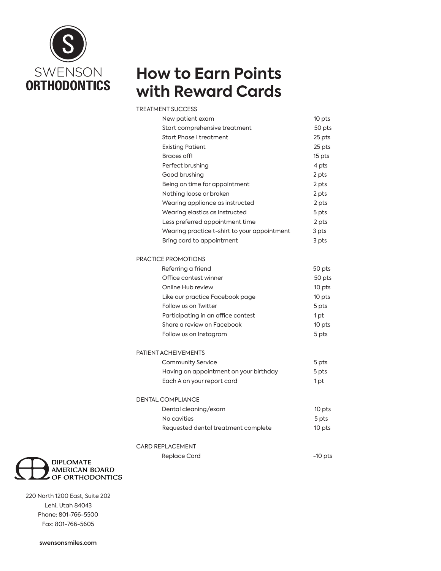

#### **How to Earn Points with Reward Cards**

| TREATMENT SUCCESS                            |           |
|----------------------------------------------|-----------|
| New patient exam                             | 10 pts    |
| Start comprehensive treatment                | 50 pts    |
| <b>Start Phase I treatment</b>               | 25 pts    |
| <b>Existing Patient</b>                      | 25 pts    |
| Braces off!                                  | 15 pts    |
| Perfect brushing                             | 4 pts     |
| Good brushing                                | 2 pts     |
| Being on time for appointment                | 2 pts     |
| Nothing loose or broken                      | 2 pts     |
| Wearing appliance as instructed              | 2 pts     |
| Wearing elastics as instructed               | 5 pts     |
| Less preferred appointment time              | 2 pts     |
| Wearing practice t-shirt to your appointment | 3 pts     |
| Bring card to appointment                    | 3 pts     |
| <b>PRACTICE PROMOTIONS</b>                   |           |
| Referring a friend                           | 50 pts    |
| Office contest winner                        | 50 pts    |
| Online Hub review                            | 10 pts    |
| Like our practice Facebook page              | 10 pts    |
| Follow us on Twitter                         | 5 pts     |
| Participating in an office contest           | 1pt       |
| Share a review on Facebook                   | 10 pts    |
| Follow us on Instagram                       | 5 pts     |
| PATIENT ACHEIVEMENTS                         |           |
| Community Service                            | 5 pts     |
| Having an appointment on your birthday       | 5 pts     |
| Each A on your report card                   | 1pt       |
| <b>DENTAL COMPLIANCE</b>                     |           |
| Dental cleaning/exam                         | 10 pts    |
| No cavities                                  | 5 pts     |
| Requested dental treatment complete          | 10 pts    |
| CARD REPLACEMENT                             |           |
| Replace Card                                 | $-10$ pts |



220 North 1200 East, Suite 202 Lehi, Utah 84043 Phone: 801-766-5500 Fax: 801-766-5605

**swensonsmiles.com**